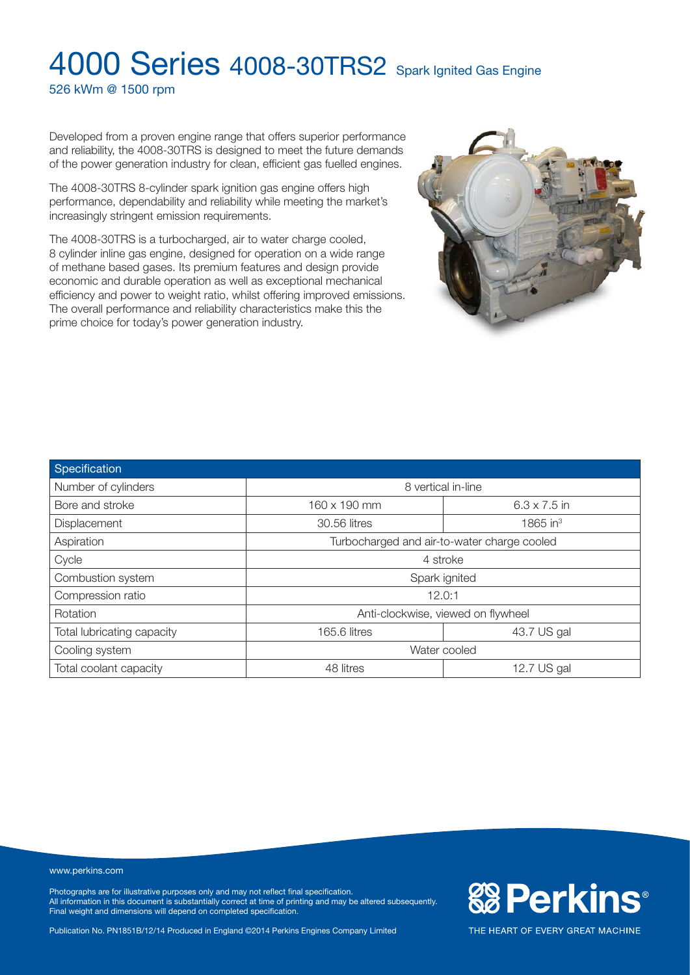526 kWm @ 1500 rpm

Developed from a proven engine range that offers superior performance and reliability, the 4008-30TRS is designed to meet the future demands of the power generation industry for clean, efficient gas fuelled engines.

The 4008-30TRS 8-cylinder spark ignition gas engine offers high performance, dependability and reliability while meeting the market's increasingly stringent emission requirements.

The 4008-30TRS is a turbocharged, air to water charge cooled, 8 cylinder inline gas engine, designed for operation on a wide range of methane based gases. Its premium features and design provide economic and durable operation as well as exceptional mechanical efficiency and power to weight ratio, whilst offering improved emissions. The overall performance and reliability characteristics make this the prime choice for today's power generation industry.



| Specification              |                                             |                      |  |
|----------------------------|---------------------------------------------|----------------------|--|
| Number of cylinders        | 8 vertical in-line                          |                      |  |
| Bore and stroke            | 160 x 190 mm                                | $6.3 \times 7.5$ in  |  |
| Displacement               | 30.56 litres                                | 1865 in <sup>3</sup> |  |
| Aspiration                 | Turbocharged and air-to-water charge cooled |                      |  |
| Cycle                      | 4 stroke                                    |                      |  |
| Combustion system          | Spark ignited                               |                      |  |
| Compression ratio          | 12.0:1                                      |                      |  |
| Rotation                   | Anti-clockwise, viewed on flywheel          |                      |  |
| Total lubricating capacity | 165.6 litres                                | 43.7 US gal          |  |
| Cooling system             | Water cooled                                |                      |  |
| Total coolant capacity     | 48 litres                                   | 12.7 US gal          |  |

#### www.perkins.com

Photographs are for illustrative purposes only and may not reflect final specification. All information in this document is substantially correct at time of printing and may be altered subsequently. Final weight and dimensions will depend on completed specification.

Publication No. PN1851B/12/14 Produced in England ©2014 Perkins Engines Company Limited

**&BPerkins®** 

THE HEART OF EVERY GREAT MACHINE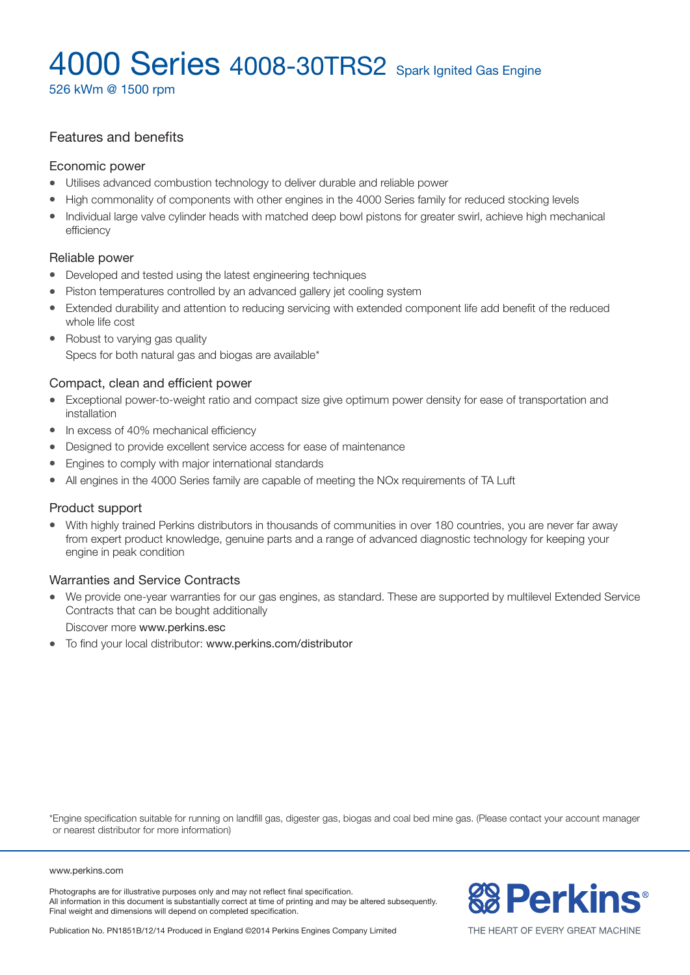526 kWm @ 1500 rpm

### Features and benefits

#### Economic power

- Utilises advanced combustion technology to deliver durable and reliable power
- High commonality of components with other engines in the 4000 Series family for reduced stocking levels
- Individual large valve cylinder heads with matched deep bowl pistons for greater swirl, achieve high mechanical efficiency

### Reliable power

- Developed and tested using the latest engineering techniques
- Piston temperatures controlled by an advanced gallery jet cooling system
- Extended durability and attention to reducing servicing with extended component life add benefit of the reduced whole life cost
- Robust to varying gas quality

### Specs for both natural gas and biogas are available\*

### Compact, clean and efficient power

- Exceptional power-to-weight ratio and compact size give optimum power density for ease of transportation and installation
- $\bullet$  In excess of 40% mechanical efficiency
- Designed to provide excellent service access for ease of maintenance
- Engines to comply with major international standards
- All engines in the 4000 Series family are capable of meeting the NO<sub>x</sub> requirements of TA Luft

#### Product support

With highly trained Perkins distributors in thousands of communities in over 180 countries, you are never far away from expert product knowledge, genuine parts and a range of advanced diagnostic technology for keeping your engine in peak condition

### Warranties and Service Contracts

We provide one-year warranties for our gas engines, as standard. These are supported by multilevel Extended Service Contracts that can be bought additionally

Discover more www.perkins.esc

• To find your local distributor: www.perkins.com/distributor

\*Engine specification suitable for running on landfill gas, digester gas, biogas and coal bed mine gas. (Please contact your account manager or nearest distributor for more information)

#### www.perkins.com

Photographs are for illustrative purposes only and may not reflect final specification. All information in this document is substantially correct at time of printing and may be altered subsequently. Final weight and dimensions will depend on completed specification.



THE HEART OF EVERY GREAT MACHINE

Publication No. PN1851B/12/14 Produced in England ©2014 Perkins Engines Company Limited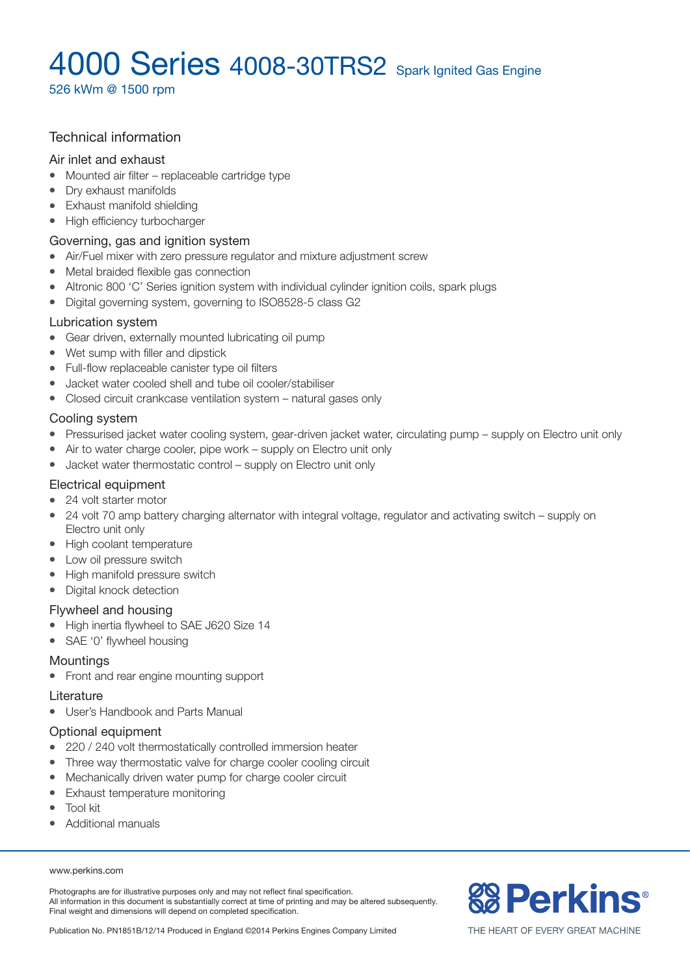526 kWm @ 1500 rpm

### Technical information

#### Air inlet and exhaust

- $\bullet$  Mounted air filter replaceable cartridge type
- Dry exhaust manifolds
- Exhaust manifold shielding
- High efficiency turbocharger

#### Governing, gas and ignition system

- Air/Fuel mixer with zero pressure regulator and mixture adjustment screw
- Metal braided flexible gas connection
- Altronic 800 'C' Series ignition system with individual cylinder ignition coils, spark plugs
- Digital governing system, governing to ISO8528-5 class G2

#### Lubrication system

- Gear driven, externally mounted lubricating oil pump
- $\bullet$  Wet sump with filler and dipstick
- Full-flow replaceable canister type oil filters
- l Jacket water cooled shell and tube oil cooler/stabiliser
- Closed circuit crankcase ventilation system natural gases only

### Cooling system

- Pressurised jacket water cooling system, gear-driven jacket water, circulating pump supply on Electro unit only
- $\bullet$  Air to water charge cooler, pipe work supply on Electro unit only
- $\bullet$  Jacket water thermostatic control supply on Electro unit only

#### Electrical equipment

- 24 volt starter motor
- 24 volt 70 amp battery charging alternator with integral voltage, regulator and activating switch supply on Electro unit only
- High coolant temperature
- Low oil pressure switch
- High manifold pressure switch
- Digital knock detection

### Flywheel and housing

- High inertia flywheel to SAE J620 Size 14
- SAE '0' flywheel housing

### **Mountings**

• Front and rear engine mounting support

#### Literature

• User's Handbook and Parts Manual

### Optional equipment

- 220 / 240 volt thermostatically controlled immersion heater
- Three way thermostatic valve for charge cooler cooling circuit
- Mechanically driven water pump for charge cooler circuit
- Exhaust temperature monitoring
- $\bullet$  Tool kit
- Additional manuals

#### www.perkins.com

Photographs are for illustrative purposes only and may not reflect final specification. All information in this document is substantially correct at time of printing and may be altered subsequently. Final weight and dimensions will depend on completed specification.

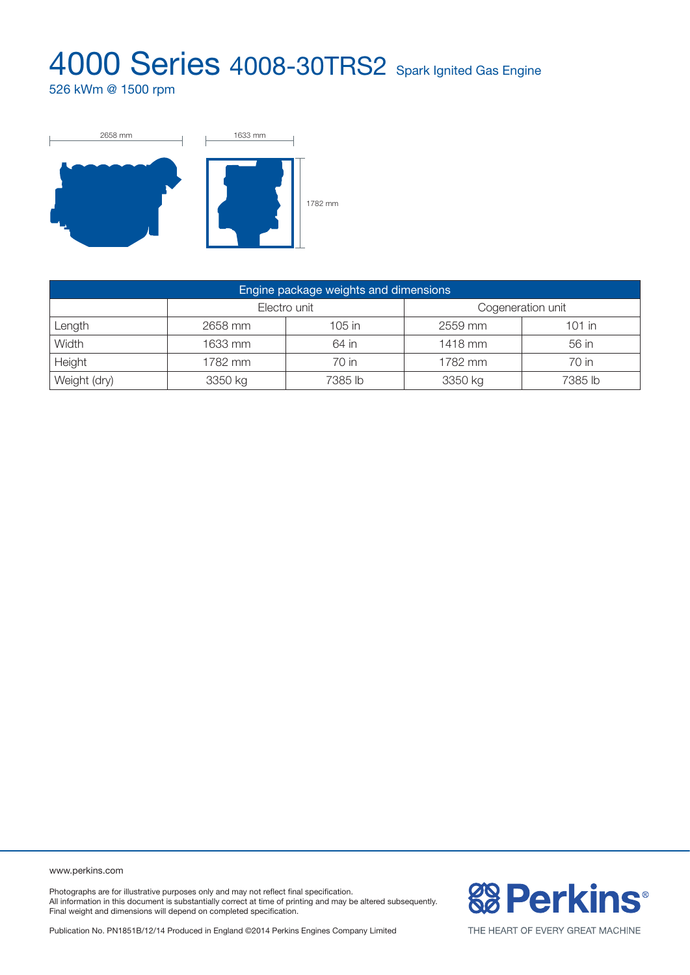526 kWm @ 1500 rpm



| Engine package weights and dimensions |              |         |                   |          |  |  |
|---------------------------------------|--------------|---------|-------------------|----------|--|--|
|                                       | Electro unit |         | Cogeneration unit |          |  |  |
| Length                                | 2658 mm      | 105 in  | 2559 mm           | $101$ in |  |  |
| Width                                 | 1633 mm      | 64 in   | 1418 mm           | 56 in    |  |  |
| Height                                | 1782 mm      | 70 in   | 1782 mm           | 70 in    |  |  |
| Weight (dry)                          | 3350 kg      | 7385 lb | 3350 kg           | 7385 lb  |  |  |

www.perkins.com

Photographs are for illustrative purposes only and may not reflect final specification. All information in this document is substantially correct at time of printing and may be altered subsequently. Final weight and dimensions will depend on completed specification.

Publication No. PN1851B/12/14 Produced in England ©2014 Perkins Engines Company Limited



THE HEART OF EVERY GREAT MACHINE